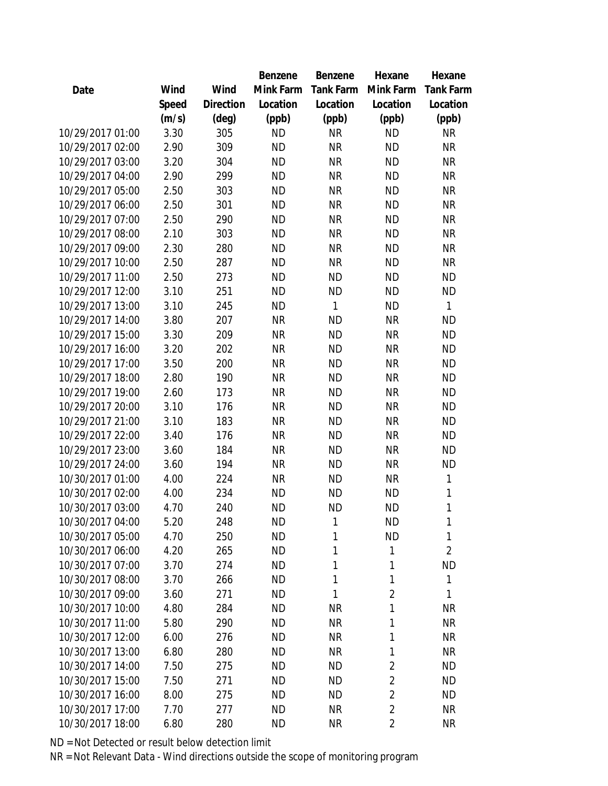|                  |       |                | <b>Benzene</b> | Benzene   | Hexane         | Hexane           |
|------------------|-------|----------------|----------------|-----------|----------------|------------------|
| Date             | Wind  | Wind           | Mink Farm      | Tank Farm | Mink Farm      | <b>Tank Farm</b> |
|                  | Speed | Direction      | Location       | Location  | Location       | Location         |
|                  | (m/s) | $(\text{deg})$ | (ppb)          | (ppb)     | (ppb)          | (ppb)            |
| 10/29/2017 01:00 | 3.30  | 305            | <b>ND</b>      | <b>NR</b> | <b>ND</b>      | <b>NR</b>        |
| 10/29/2017 02:00 | 2.90  | 309            | <b>ND</b>      | <b>NR</b> | <b>ND</b>      | <b>NR</b>        |
| 10/29/2017 03:00 | 3.20  | 304            | <b>ND</b>      | <b>NR</b> | <b>ND</b>      | <b>NR</b>        |
| 10/29/2017 04:00 | 2.90  | 299            | <b>ND</b>      | <b>NR</b> | <b>ND</b>      | <b>NR</b>        |
| 10/29/2017 05:00 | 2.50  | 303            | <b>ND</b>      | <b>NR</b> | <b>ND</b>      | <b>NR</b>        |
| 10/29/2017 06:00 | 2.50  | 301            | <b>ND</b>      | <b>NR</b> | <b>ND</b>      | <b>NR</b>        |
| 10/29/2017 07:00 | 2.50  | 290            | <b>ND</b>      | <b>NR</b> | <b>ND</b>      | <b>NR</b>        |
| 10/29/2017 08:00 | 2.10  | 303            | <b>ND</b>      | <b>NR</b> | <b>ND</b>      | <b>NR</b>        |
| 10/29/2017 09:00 | 2.30  | 280            | <b>ND</b>      | <b>NR</b> | <b>ND</b>      | <b>NR</b>        |
| 10/29/2017 10:00 | 2.50  | 287            | <b>ND</b>      | <b>NR</b> | <b>ND</b>      | <b>NR</b>        |
| 10/29/2017 11:00 | 2.50  | 273            | <b>ND</b>      | <b>ND</b> | <b>ND</b>      | <b>ND</b>        |
| 10/29/2017 12:00 | 3.10  | 251            | <b>ND</b>      | <b>ND</b> | <b>ND</b>      | <b>ND</b>        |
| 10/29/2017 13:00 | 3.10  | 245            | <b>ND</b>      | 1         | <b>ND</b>      | 1                |
| 10/29/2017 14:00 | 3.80  | 207            | <b>NR</b>      | <b>ND</b> | <b>NR</b>      | <b>ND</b>        |
| 10/29/2017 15:00 | 3.30  | 209            | <b>NR</b>      | <b>ND</b> | <b>NR</b>      | <b>ND</b>        |
| 10/29/2017 16:00 | 3.20  | 202            | <b>NR</b>      | <b>ND</b> | <b>NR</b>      | <b>ND</b>        |
| 10/29/2017 17:00 | 3.50  | 200            | <b>NR</b>      | <b>ND</b> | <b>NR</b>      | <b>ND</b>        |
| 10/29/2017 18:00 | 2.80  | 190            | <b>NR</b>      | <b>ND</b> | <b>NR</b>      | <b>ND</b>        |
| 10/29/2017 19:00 | 2.60  | 173            | <b>NR</b>      | <b>ND</b> | <b>NR</b>      | <b>ND</b>        |
| 10/29/2017 20:00 | 3.10  | 176            | <b>NR</b>      | <b>ND</b> | <b>NR</b>      | <b>ND</b>        |
| 10/29/2017 21:00 | 3.10  | 183            | <b>NR</b>      | <b>ND</b> | <b>NR</b>      | <b>ND</b>        |
| 10/29/2017 22:00 | 3.40  | 176            | <b>NR</b>      | <b>ND</b> | <b>NR</b>      | <b>ND</b>        |
| 10/29/2017 23:00 | 3.60  | 184            | <b>NR</b>      | <b>ND</b> | <b>NR</b>      | <b>ND</b>        |
| 10/29/2017 24:00 | 3.60  | 194            | <b>NR</b>      | <b>ND</b> | <b>NR</b>      | <b>ND</b>        |
| 10/30/2017 01:00 | 4.00  | 224            | <b>NR</b>      | <b>ND</b> | <b>NR</b>      | 1                |
| 10/30/2017 02:00 | 4.00  | 234            | <b>ND</b>      | <b>ND</b> | <b>ND</b>      | 1                |
| 10/30/2017 03:00 | 4.70  | 240            | <b>ND</b>      | <b>ND</b> | <b>ND</b>      | 1                |
| 10/30/2017 04:00 | 5.20  | 248            | <b>ND</b>      | 1         | <b>ND</b>      | 1                |
| 10/30/2017 05:00 | 4.70  | 250            | <b>ND</b>      | 1         | <b>ND</b>      | 1                |
| 10/30/2017 06:00 | 4.20  | 265            | <b>ND</b>      | 1         | 1              | $\overline{2}$   |
| 10/30/2017 07:00 | 3.70  | 274            | ND             | 1         | 1              | <b>ND</b>        |
| 10/30/2017 08:00 | 3.70  | 266            | <b>ND</b>      | 1         | 1              | 1                |
| 10/30/2017 09:00 | 3.60  | 271            | <b>ND</b>      | 1         | $\overline{2}$ | 1                |
| 10/30/2017 10:00 | 4.80  | 284            | <b>ND</b>      | <b>NR</b> | 1              | <b>NR</b>        |
| 10/30/2017 11:00 | 5.80  | 290            | <b>ND</b>      | <b>NR</b> | 1              | <b>NR</b>        |
| 10/30/2017 12:00 | 6.00  | 276            | ND             | <b>NR</b> | 1              | <b>NR</b>        |
| 10/30/2017 13:00 | 6.80  | 280            | <b>ND</b>      | <b>NR</b> | 1              | <b>NR</b>        |
| 10/30/2017 14:00 | 7.50  | 275            | <b>ND</b>      | <b>ND</b> | $\overline{2}$ | <b>ND</b>        |
| 10/30/2017 15:00 | 7.50  | 271            | <b>ND</b>      | <b>ND</b> | $\overline{2}$ | <b>ND</b>        |
| 10/30/2017 16:00 | 8.00  | 275            | <b>ND</b>      | <b>ND</b> | $\overline{2}$ | <b>ND</b>        |
| 10/30/2017 17:00 | 7.70  | 277            | <b>ND</b>      | <b>NR</b> | $\overline{2}$ | <b>NR</b>        |
| 10/30/2017 18:00 | 6.80  | 280            | <b>ND</b>      | <b>NR</b> | $\overline{2}$ | <b>NR</b>        |
|                  |       |                |                |           |                |                  |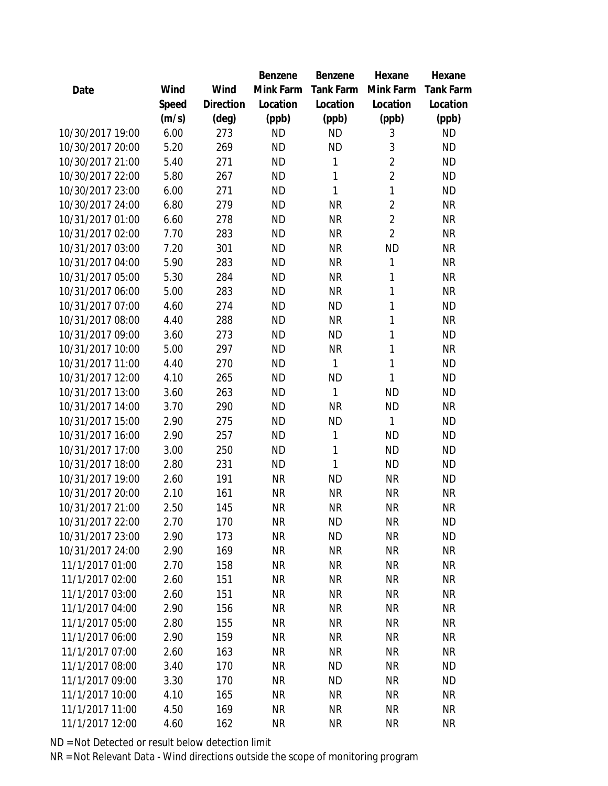|                  |       |                | <b>Benzene</b> | Benzene   | Hexane         | Hexane           |
|------------------|-------|----------------|----------------|-----------|----------------|------------------|
| Date             | Wind  | Wind           | Mink Farm      | Tank Farm | Mink Farm      | <b>Tank Farm</b> |
|                  | Speed | Direction      | Location       | Location  | Location       | Location         |
|                  | (m/s) | $(\text{deg})$ | (ppb)          | (ppb)     | (ppb)          | (ppb)            |
| 10/30/2017 19:00 | 6.00  | 273            | <b>ND</b>      | <b>ND</b> | 3              | <b>ND</b>        |
| 10/30/2017 20:00 | 5.20  | 269            | <b>ND</b>      | <b>ND</b> | 3              | <b>ND</b>        |
| 10/30/2017 21:00 | 5.40  | 271            | <b>ND</b>      | 1         | $\overline{2}$ | <b>ND</b>        |
| 10/30/2017 22:00 | 5.80  | 267            | <b>ND</b>      | 1         | $\overline{2}$ | <b>ND</b>        |
| 10/30/2017 23:00 | 6.00  | 271            | <b>ND</b>      | 1         | $\mathbf{1}$   | <b>ND</b>        |
| 10/30/2017 24:00 | 6.80  | 279            | <b>ND</b>      | <b>NR</b> | $\overline{2}$ | <b>NR</b>        |
| 10/31/2017 01:00 | 6.60  | 278            | <b>ND</b>      | <b>NR</b> | $\overline{2}$ | <b>NR</b>        |
| 10/31/2017 02:00 | 7.70  | 283            | <b>ND</b>      | <b>NR</b> | $\overline{2}$ | <b>NR</b>        |
| 10/31/2017 03:00 | 7.20  | 301            | <b>ND</b>      | <b>NR</b> | <b>ND</b>      | <b>NR</b>        |
| 10/31/2017 04:00 | 5.90  | 283            | <b>ND</b>      | <b>NR</b> | 1              | <b>NR</b>        |
| 10/31/2017 05:00 | 5.30  | 284            | <b>ND</b>      | <b>NR</b> | 1              | <b>NR</b>        |
| 10/31/2017 06:00 | 5.00  | 283            | <b>ND</b>      | <b>NR</b> | 1              | <b>NR</b>        |
| 10/31/2017 07:00 | 4.60  | 274            | <b>ND</b>      | <b>ND</b> | 1              | <b>ND</b>        |
| 10/31/2017 08:00 | 4.40  | 288            | <b>ND</b>      | <b>NR</b> | 1              | <b>NR</b>        |
| 10/31/2017 09:00 | 3.60  | 273            | <b>ND</b>      | <b>ND</b> | 1              | <b>ND</b>        |
| 10/31/2017 10:00 | 5.00  | 297            | <b>ND</b>      | <b>NR</b> | 1              | <b>NR</b>        |
| 10/31/2017 11:00 | 4.40  | 270            | <b>ND</b>      | 1         | 1              | <b>ND</b>        |
| 10/31/2017 12:00 | 4.10  | 265            | <b>ND</b>      | <b>ND</b> | 1              | <b>ND</b>        |
| 10/31/2017 13:00 | 3.60  | 263            | <b>ND</b>      | 1         | <b>ND</b>      | <b>ND</b>        |
| 10/31/2017 14:00 | 3.70  | 290            | <b>ND</b>      | <b>NR</b> | <b>ND</b>      | <b>NR</b>        |
| 10/31/2017 15:00 | 2.90  | 275            | <b>ND</b>      | ΝD        | 1              | <b>ND</b>        |
| 10/31/2017 16:00 | 2.90  | 257            | <b>ND</b>      | 1         | <b>ND</b>      | <b>ND</b>        |
| 10/31/2017 17:00 | 3.00  | 250            | <b>ND</b>      | 1         | <b>ND</b>      | <b>ND</b>        |
| 10/31/2017 18:00 | 2.80  | 231            | <b>ND</b>      | 1         | <b>ND</b>      | <b>ND</b>        |
| 10/31/2017 19:00 | 2.60  | 191            | <b>NR</b>      | ΝD        | <b>NR</b>      | <b>ND</b>        |
| 10/31/2017 20:00 | 2.10  | 161            | <b>NR</b>      | <b>NR</b> | <b>NR</b>      | <b>NR</b>        |
| 10/31/2017 21:00 | 2.50  | 145            | <b>NR</b>      | <b>NR</b> | <b>NR</b>      | <b>NR</b>        |
| 10/31/2017 22:00 | 2.70  | 170            | <b>NR</b>      | ΝD        | <b>NR</b>      | <b>ND</b>        |
| 10/31/2017 23:00 | 2.90  | 173            | <b>NR</b>      | <b>ND</b> | <b>NR</b>      | <b>ND</b>        |
| 10/31/2017 24:00 | 2.90  | 169            | <b>NR</b>      | <b>NR</b> | <b>NR</b>      | <b>NR</b>        |
| 11/1/2017 01:00  | 2.70  | 158            | <b>NR</b>      | <b>NR</b> | <b>NR</b>      | <b>NR</b>        |
| 11/1/2017 02:00  | 2.60  | 151            | <b>NR</b>      | <b>NR</b> | <b>NR</b>      | <b>NR</b>        |
| 11/1/2017 03:00  | 2.60  | 151            | <b>NR</b>      | <b>NR</b> | <b>NR</b>      | <b>NR</b>        |
| 11/1/2017 04:00  | 2.90  | 156            | <b>NR</b>      | <b>NR</b> | <b>NR</b>      | <b>NR</b>        |
| 11/1/2017 05:00  | 2.80  | 155            | <b>NR</b>      | <b>NR</b> | <b>NR</b>      | <b>NR</b>        |
| 11/1/2017 06:00  | 2.90  | 159            | <b>NR</b>      | <b>NR</b> | <b>NR</b>      | <b>NR</b>        |
| 11/1/2017 07:00  | 2.60  | 163            | <b>NR</b>      | <b>NR</b> | <b>NR</b>      | <b>NR</b>        |
| 11/1/2017 08:00  | 3.40  | 170            | <b>NR</b>      | <b>ND</b> | <b>NR</b>      | <b>ND</b>        |
| 11/1/2017 09:00  | 3.30  | 170            | <b>NR</b>      | ΝD        | <b>NR</b>      | <b>ND</b>        |
| 11/1/2017 10:00  | 4.10  | 165            | <b>NR</b>      | <b>NR</b> | <b>NR</b>      | <b>NR</b>        |
| 11/1/2017 11:00  | 4.50  | 169            | <b>NR</b>      | <b>NR</b> | <b>NR</b>      | <b>NR</b>        |
| 11/1/2017 12:00  | 4.60  | 162            | <b>NR</b>      | <b>NR</b> | <b>NR</b>      | <b>NR</b>        |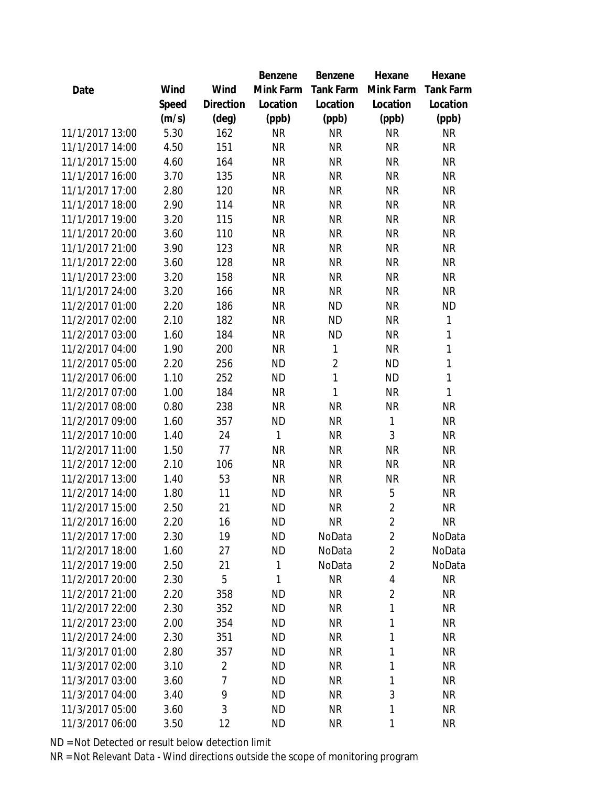|                 |       |                | Benzene   | Benzene          | Hexane         | Hexane    |
|-----------------|-------|----------------|-----------|------------------|----------------|-----------|
| Date            | Wind  | Wind           | Mink Farm | <b>Tank Farm</b> | Mink Farm      | Tank Farm |
|                 | Speed | Direction      | Location  | Location         | Location       | Location  |
|                 | (m/s) | $(\text{deg})$ | (ppb)     | (ppb)            | (ppb)          | (ppb)     |
| 11/1/2017 13:00 | 5.30  | 162            | <b>NR</b> | <b>NR</b>        | <b>NR</b>      | <b>NR</b> |
| 11/1/2017 14:00 | 4.50  | 151            | <b>NR</b> | <b>NR</b>        | <b>NR</b>      | <b>NR</b> |
| 11/1/2017 15:00 | 4.60  | 164            | <b>NR</b> | <b>NR</b>        | <b>NR</b>      | <b>NR</b> |
| 11/1/2017 16:00 | 3.70  | 135            | <b>NR</b> | <b>NR</b>        | <b>NR</b>      | <b>NR</b> |
| 11/1/2017 17:00 | 2.80  | 120            | <b>NR</b> | <b>NR</b>        | <b>NR</b>      | <b>NR</b> |
| 11/1/2017 18:00 | 2.90  | 114            | <b>NR</b> | <b>NR</b>        | <b>NR</b>      | <b>NR</b> |
| 11/1/2017 19:00 | 3.20  | 115            | <b>NR</b> | <b>NR</b>        | <b>NR</b>      | <b>NR</b> |
| 11/1/2017 20:00 | 3.60  | 110            | <b>NR</b> | <b>NR</b>        | <b>NR</b>      | <b>NR</b> |
| 11/1/2017 21:00 | 3.90  | 123            | <b>NR</b> | <b>NR</b>        | <b>NR</b>      | <b>NR</b> |
| 11/1/2017 22:00 | 3.60  | 128            | <b>NR</b> | <b>NR</b>        | <b>NR</b>      | <b>NR</b> |
| 11/1/2017 23:00 | 3.20  | 158            | <b>NR</b> | <b>NR</b>        | <b>NR</b>      | <b>NR</b> |
| 11/1/2017 24:00 | 3.20  | 166            | <b>NR</b> | <b>NR</b>        | <b>NR</b>      | <b>NR</b> |
| 11/2/2017 01:00 | 2.20  | 186            | <b>NR</b> | <b>ND</b>        | <b>NR</b>      | <b>ND</b> |
| 11/2/2017 02:00 | 2.10  | 182            | <b>NR</b> | <b>ND</b>        | <b>NR</b>      | 1         |
| 11/2/2017 03:00 | 1.60  | 184            | <b>NR</b> | <b>ND</b>        | <b>NR</b>      | 1         |
| 11/2/2017 04:00 | 1.90  | 200            | <b>NR</b> | $\mathbf{1}$     | <b>NR</b>      | 1         |
| 11/2/2017 05:00 | 2.20  | 256            | <b>ND</b> | $\overline{2}$   | <b>ND</b>      | 1         |
| 11/2/2017 06:00 | 1.10  | 252            | <b>ND</b> | 1                | <b>ND</b>      | 1         |
| 11/2/2017 07:00 | 1.00  | 184            | <b>NR</b> | 1                | <b>NR</b>      | 1         |
| 11/2/2017 08:00 | 0.80  | 238            | <b>NR</b> | <b>NR</b>        | <b>NR</b>      | <b>NR</b> |
| 11/2/2017 09:00 | 1.60  | 357            | <b>ND</b> | <b>NR</b>        | $\mathbf{1}$   | <b>NR</b> |
| 11/2/2017 10:00 | 1.40  | 24             | 1         | <b>NR</b>        | 3              | <b>NR</b> |
| 11/2/2017 11:00 | 1.50  | 77             | <b>NR</b> | <b>NR</b>        | <b>NR</b>      | <b>NR</b> |
| 11/2/2017 12:00 | 2.10  | 106            | <b>NR</b> | <b>NR</b>        | <b>NR</b>      | <b>NR</b> |
| 11/2/2017 13:00 | 1.40  | 53             | <b>NR</b> | <b>NR</b>        | <b>NR</b>      | <b>NR</b> |
| 11/2/2017 14:00 | 1.80  | 11             | <b>ND</b> | <b>NR</b>        | 5              | <b>NR</b> |
| 11/2/2017 15:00 | 2.50  | 21             | <b>ND</b> | <b>NR</b>        | $\overline{2}$ | <b>NR</b> |
| 11/2/2017 16:00 | 2.20  | 16             | <b>ND</b> | <b>NR</b>        | $\overline{2}$ | NR        |
| 11/2/2017 17:00 | 2.30  | 19             | <b>ND</b> | NoData           | $\overline{2}$ | NoData    |
| 11/2/2017 18:00 | 1.60  | 27             | <b>ND</b> | NoData           | $\overline{2}$ | NoData    |
| 11/2/2017 19:00 | 2.50  | 21             | 1         | NoData           | $\overline{2}$ | NoData    |
| 11/2/2017 20:00 | 2.30  | 5              | 1         | <b>NR</b>        | 4              | <b>NR</b> |
| 11/2/2017 21:00 | 2.20  | 358            | <b>ND</b> | <b>NR</b>        | $\overline{2}$ | <b>NR</b> |
| 11/2/2017 22:00 | 2.30  | 352            | <b>ND</b> | <b>NR</b>        | 1              | <b>NR</b> |
| 11/2/2017 23:00 | 2.00  | 354            | <b>ND</b> | <b>NR</b>        | 1              | <b>NR</b> |
| 11/2/2017 24:00 | 2.30  | 351            | <b>ND</b> | <b>NR</b>        | 1              | <b>NR</b> |
| 11/3/2017 01:00 | 2.80  | 357            | <b>ND</b> | <b>NR</b>        | 1              | <b>NR</b> |
| 11/3/2017 02:00 | 3.10  | $\overline{2}$ | <b>ND</b> | <b>NR</b>        | 1              | <b>NR</b> |
| 11/3/2017 03:00 | 3.60  | 7              | <b>ND</b> | <b>NR</b>        | 1              | <b>NR</b> |
| 11/3/2017 04:00 | 3.40  | 9              | <b>ND</b> | <b>NR</b>        | 3              | NR        |
| 11/3/2017 05:00 | 3.60  | $\sqrt{3}$     | <b>ND</b> | <b>NR</b>        | 1              | <b>NR</b> |
| 11/3/2017 06:00 | 3.50  | 12             | <b>ND</b> | <b>NR</b>        | 1              | <b>NR</b> |
|                 |       |                |           |                  |                |           |